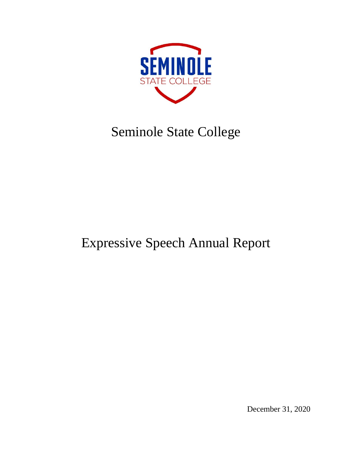

# Seminole State College

# Expressive Speech Annual Report

December 31, 2020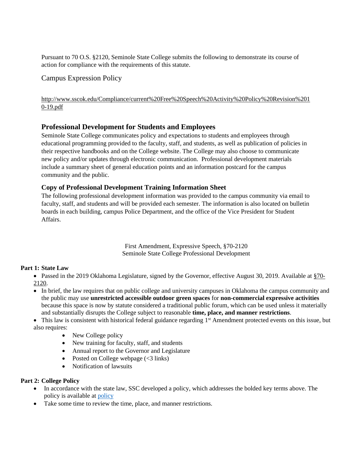Pursuant to 70 O.S. §2120, Seminole State College submits the following to demonstrate its course of action for compliance with the requirements of this statute.

## Campus Expression Policy

[http://www.sscok.edu/Compliance/current%20Free%20Speech%20Activity%20Policy%20Revision%201](http://www.sscok.edu/Compliance/current%20Free%20Speech%20Activity%20Policy%20Revision%2010-19.pdf) [0-19.pdf](http://www.sscok.edu/Compliance/current%20Free%20Speech%20Activity%20Policy%20Revision%2010-19.pdf)

## **Professional Development for Students and Employees**

Seminole State College communicates policy and expectations to students and employees through educational programming provided to the faculty, staff, and students, as well as publication of policies in their respective handbooks and on the College website. The College may also choose to communicate new policy and/or updates through electronic communication. Professional development materials include a summary sheet of general education points and an information postcard for the campus community and the public.

## **Copy of Professional Development Training Information Sheet**

The following professional development information was provided to the campus community via email to faculty, staff, and students and will be provided each semester. The information is also located on bulletin boards in each building, campus Police Department, and the office of the Vice President for Student Affairs.

> First Amendment, Expressive Speech, §70-2120 Seminole State College Professional Development

### **Part 1: State Law**

• Passed in the 2019 Oklahoma Legislature, signed by the Governor, effective August 30, 2019. Available at [§70-](http://webserver1.lsb.state.ok.us/cf_pdf/2019-20%20ENR/SB/SB361%20ENR.PDF) [2120.](http://webserver1.lsb.state.ok.us/cf_pdf/2019-20%20ENR/SB/SB361%20ENR.PDF)

• In brief, the law requires that on public college and university campuses in Oklahoma the campus community and the public may use **unrestricted accessible outdoor green spaces** for **non-commercial expressive activities** because this space is now by statute considered a traditional public forum, which can be used unless it materially and substantially disrupts the College subject to reasonable **time, place, and manner restrictions**.

 $\bullet$  This law is consistent with historical federal guidance regarding 1<sup>st</sup> Amendment protected events on this issue, but also requires:

- New College policy
- New training for faculty, staff, and students
- Annual report to the Governor and Legislature
- Posted on College webpage  $(<3$  links)
- Notification of lawsuits

### **Part 2: College Policy**

- In accordance with the state law, SSC developed a policy, which addresses the bolded key terms above. The policy is available at [policy](http://www.sscok.edu/Compliance/current%20Free%20Speech%20Activity%20Policy%20Revision%2010-19.pdf)
- Take some time to review the time, place, and manner restrictions.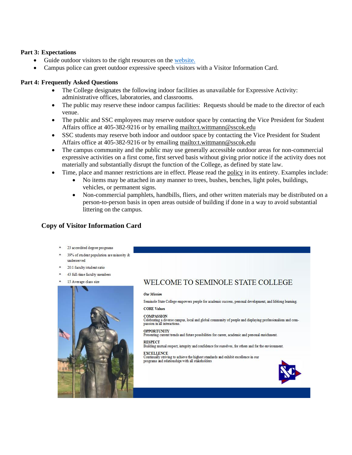#### **Part 3: Expectations**

- Guide outdoor visitors to the right resources on the [website.](http://www.sscok.edu/Compliance/current%20Free%20Speech%20Activity%20Policy%20Revision%2010-19.pdf)
- Campus police can greet outdoor expressive speech visitors with a Visitor Information Card.

#### **Part 4: Frequently Asked Questions**

- The College designates the following indoor facilities as unavailable for Expressive Activity: administrative offices, laboratories, and classrooms.
- The public may reserve these indoor campus facilities: Requests should be made to the director of each venue.
- The public and SSC employees may reserve outdoor space by contacting the Vice President for Student Affairs office at 405-382-9216 or by emailing<mailto:t.wittmann@sscok.edu>
- SSC students may reserve both indoor and outdoor space by contacting the Vice President for Student Affairs office at 405-382-9216 or by emailing<mailto:t.wittmann@sscok.edu>
- The campus community and the public may use generally accessible outdoor areas for non-commercial expressive activities on a first come, first served basis without giving prior notice if the activity does not materially and substantially disrupt the function of the College, as defined by state law.
- Time, place and manner restrictions are in effect. Please read the [policy](http://www.sscok.edu/Compliance/current%20Free%20Speech%20Activity%20Policy%20Revision%2010-19.pdf) in its entirety. Examples include:
	- No items may be attached in any manner to trees, bushes, benches, light poles, buildings, vehicles, or permanent signs.
		- Non-commercial pamphlets, handbills, fliers, and other written materials may be distributed on a person-to-person basis in open areas outside of building if done in a way to avoid substantial littering on the campus.

## **Copy of Visitor Information Card**



- \* 39% of student population are minority & underserved
- 20:1 faculty/student ratio
- \* 43 full-time faculty members
- 15 Average class size



# WELCOME TO SEMINOLE STATE COLLEGE

#### Our Mission

Seminole State College empowers people for academic success, personal development, and lifelong learning. **CORE Values** 

#### **COMPASSION**

Covar Associated<br>Celebrating a diverse campus, local and global community of people and displaying professionalism and compassion in all interactions.

#### **OPPORTUNITY**

Presenting current trends and future possibilities for career, academic and personal enrichment.

**RESPECT** Building mutual respect, integrity and confidence for ourselves, for others and for the environment.

#### **EXCELLENCE**

EXCRETION of achieve the highest standards and exhibit excellence in our programs and relationships with all stakeholders